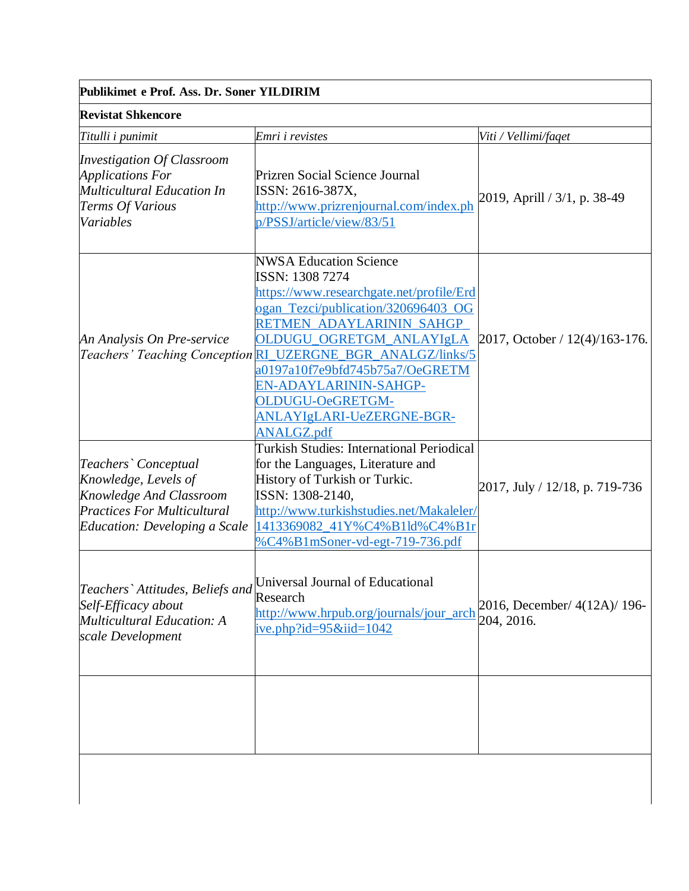|  |  | Publikimet e Prof. Ass. Dr. Soner YILDIRIM |
|--|--|--------------------------------------------|
|  |  |                                            |

| <b>Revistat Shkencore</b>                                                                                                                      |                                                                                                                                                                                                                                                                                                                                                                                              |                                            |
|------------------------------------------------------------------------------------------------------------------------------------------------|----------------------------------------------------------------------------------------------------------------------------------------------------------------------------------------------------------------------------------------------------------------------------------------------------------------------------------------------------------------------------------------------|--------------------------------------------|
| Titulli i punimit                                                                                                                              | Emri i revistes                                                                                                                                                                                                                                                                                                                                                                              | Viti / Vellimi/faqet                       |
| <b>Investigation Of Classroom</b><br><b>Applications For</b><br><b>Multicultural Education In</b><br><b>Terms Of Various</b><br>Variables      | Prizren Social Science Journal<br>ISSN: 2616-387X,<br>http://www.prizrenjournal.com/index.ph<br>p/PSSJ/article/view/83/51                                                                                                                                                                                                                                                                    | 2019, Aprill / 3/1, p. 38-49               |
| An Analysis On Pre-service                                                                                                                     | <b>NWSA Education Science</b><br>ISSN: 1308 7274<br>https://www.researchgate.net/profile/Erd<br>ogan_Tezci/publication/320696403_OG<br>RETMEN ADAYLARININ SAHGP<br>OLDUGU_OGRETGM_ANLAYIgLA<br>Teachers' Teaching Conception RI_UZERGNE_BGR_ANALGZ/links/5<br>a0197a10f7e9bfd745b75a7/OeGRETM<br>EN-ADAYLARININ-SAHGP-<br>OLDUGU-OeGRETGM-<br>ANLAYIgLARI-UeZERGNE-BGR-<br><b>ANALGZ.pdf</b> | 2017, October / 12(4)/163-176.             |
| Teachers' Conceptual<br>Knowledge, Levels of<br>Knowledge And Classroom<br><b>Practices For Multicultural</b><br>Education: Developing a Scale | <b>Turkish Studies: International Periodical</b><br>for the Languages, Literature and<br>History of Turkish or Turkic.<br>ISSN: 1308-2140,<br>http://www.turkishstudies.net/Makaleler/<br>1413369082 41Y%C4%B1ld%C4%B1r<br>%C4%B1mSoner-vd-egt-719-736.pdf                                                                                                                                   | 2017, July / 12/18, p. 719-736             |
| Teachers` Attitudes, Beliefs and<br>Self-Efficacy about<br><b>Multicultural Education: A</b><br>scale Development                              | Universal Journal of Educational<br>Research<br>http://www.hrpub.org/journals/jour_arch<br>ive.php?id= $95\&$ iid= $1042$                                                                                                                                                                                                                                                                    | 2016, December/ 4(12A)/ 196-<br>204, 2016. |
|                                                                                                                                                |                                                                                                                                                                                                                                                                                                                                                                                              |                                            |